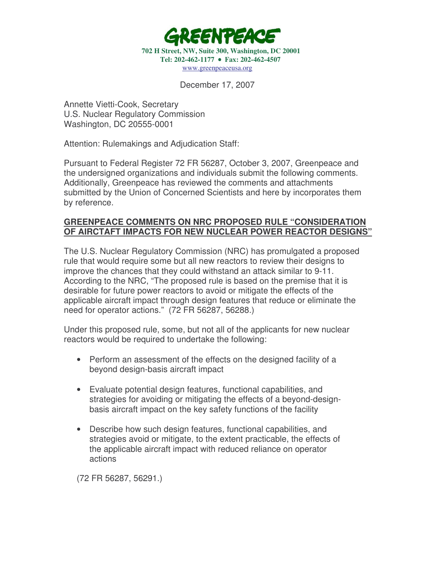

December 17, 2007

Annette Vietti-Cook, Secretary U.S. Nuclear Regulatory Commission Washington, DC 20555-0001

Attention: Rulemakings and Adjudication Staff:

Pursuant to Federal Register 72 FR 56287, October 3, 2007, Greenpeace and the undersigned organizations and individuals submit the following comments. Additionally, Greenpeace has reviewed the comments and attachments submitted by the Union of Concerned Scientists and here by incorporates them by reference.

## **GREENPEACE COMMENTS ON NRC PROPOSED RULE "CONSIDERATION OF AIRCTAFT IMPACTS FOR NEW NUCLEAR POWER REACTOR DESIGNS"**

The U.S. Nuclear Regulatory Commission (NRC) has promulgated a proposed rule that would require some but all new reactors to review their designs to improve the chances that they could withstand an attack similar to 9-11. According to the NRC, "The proposed rule is based on the premise that it is desirable for future power reactors to avoid or mitigate the effects of the applicable aircraft impact through design features that reduce or eliminate the need for operator actions." (72 FR 56287, 56288.)

Under this proposed rule, some, but not all of the applicants for new nuclear reactors would be required to undertake the following:

- Perform an assessment of the effects on the designed facility of a beyond design-basis aircraft impact
- Evaluate potential design features, functional capabilities, and strategies for avoiding or mitigating the effects of a beyond-designbasis aircraft impact on the key safety functions of the facility
- Describe how such design features, functional capabilities, and strategies avoid or mitigate, to the extent practicable, the effects of the applicable aircraft impact with reduced reliance on operator actions

(72 FR 56287, 56291.)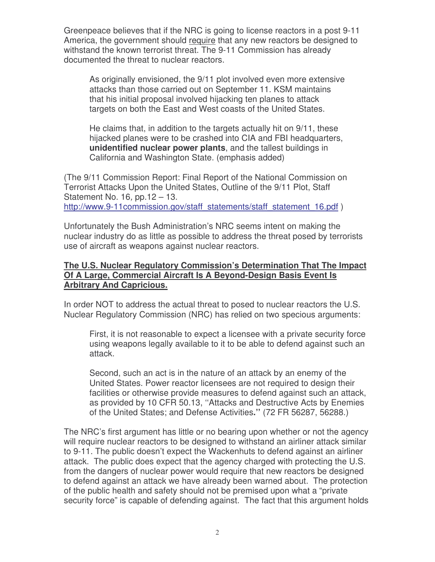Greenpeace believes that if the NRC is going to license reactors in a post 9-11 America, the government should require that any new reactors be designed to withstand the known terrorist threat. The 9-11 Commission has already documented the threat to nuclear reactors.

As originally envisioned, the 9/11 plot involved even more extensive attacks than those carried out on September 11. KSM maintains that his initial proposal involved hijacking ten planes to attack targets on both the East and West coasts of the United States.

He claims that, in addition to the targets actually hit on 9/11, these hijacked planes were to be crashed into CIA and FBI headquarters, **unidentified nuclear power plants**, and the tallest buildings in California and Washington State. (emphasis added)

(The 9/11 Commission Report: Final Report of the National Commission on Terrorist Attacks Upon the United States, Outline of the 9/11 Plot, Staff Statement No. 16*,* pp.12 – 13. http://www.9-11commission.gov/staff\_statements/staff\_statement\_16.pdf )

Unfortunately the Bush Administration's NRC seems intent on making the nuclear industry do as little as possible to address the threat posed by terrorists use of aircraft as weapons against nuclear reactors.

# **The U.S. Nuclear Regulatory Commission's Determination That The Impact Of A Large, Commercial Aircraft Is A Beyond-Design Basis Event Is Arbitrary And Capricious.**

In order NOT to address the actual threat to posed to nuclear reactors the U.S. Nuclear Regulatory Commission (NRC) has relied on two specious arguments:

First, it is not reasonable to expect a licensee with a private security force using weapons legally available to it to be able to defend against such an attack.

Second, such an act is in the nature of an attack by an enemy of the United States. Power reactor licensees are not required to design their facilities or otherwise provide measures to defend against such an attack, as provided by 10 CFR 50.13, ''Attacks and Destructive Acts by Enemies of the United States; and Defense Activities**.''** (72 FR 56287, 56288.)

The NRC's first argument has little or no bearing upon whether or not the agency will require nuclear reactors to be designed to withstand an airliner attack similar to 9-11. The public doesn't expect the Wackenhuts to defend against an airliner attack. The public does expect that the agency charged with protecting the U.S. from the dangers of nuclear power would require that new reactors be designed to defend against an attack we have already been warned about. The protection of the public health and safety should not be premised upon what a "private security force" is capable of defending against. The fact that this argument holds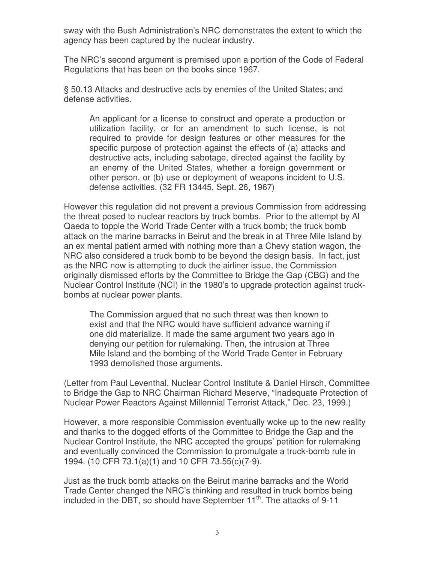sway with the Bush Administration's NRC demonstrates the extent to which the agency has been captured by the nuclear industry.

The NRC's second argument is premised upon a portion of the Code of Federal Regulations that has been on the books since 1967.

§ 50.13 Attacks and destructive acts by enemies of the United States; and defense activities.

An applicant for a license to construct and operate a production or utilization facility, or for an amendment to such license, is not required to provide for design features or other measures for the specific purpose of protection against the effects of (a) attacks and destructive acts, including sabotage, directed against the facility by an enemy of the United States, whether a foreign government or other person, or (b) use or deployment of weapons incident to U.S. defense activities. (32 FR 13445, Sept. 26, 1967)

However this regulation did not prevent a previous Commission from addressing the threat posed to nuclear reactors by truck bombs. Prior to the attempt by Al Qaeda to topple the World Trade Center with a truck bomb; the truck bomb attack on the marine barracks in Beirut and the break in at Three Mile Island by an ex mental patient armed with nothing more than a Chevy station wagon, the NRC also considered a truck bomb to be beyond the design basis. In fact, just as the NRC now is attempting to duck the airliner issue, the Commission originally dismissed efforts by the Committee to Bridge the Gap (CBG) and the Nuclear Control Institute (NCI) in the 1980's to upgrade protection against truckbombs at nuclear power plants.

The Commission argued that no such threat was then known to exist and that the NRC would have sufficient advance warning if one did materialize. It made the same argument two years ago in denying our petition for rulemaking. Then, the intrusion at Three Mile Island and the bombing of the World Trade Center in February 1993 demolished those arguments.

(Letter from Paul Leventhal, Nuclear Control Institute & Daniel Hirsch, Committee to Bridge the Gap to NRC Chairman Richard Meserve, "Inadequate Protection of Nuclear Power Reactors Against Millennial Terrorist Attack," Dec. 23, 1999.)

However, a more responsible Commission eventually woke up to the new reality and thanks to the dogged efforts of the Committee to Bridge the Gap and the Nuclear Control Institute, the NRC accepted the groups' petition for rulemaking and eventually convinced the Commission to promulgate a truck-bomb rule in 1994. (10 CFR 73.1(a)(1) and 10 CFR 73.55(c)(7-9).

Just as the truck bomb attacks on the Beirut marine barracks and the World Trade Center changed the NRC's thinking and resulted in truck bombs being included in the DBT, so should have September  $11^{th}$ . The attacks of 9-11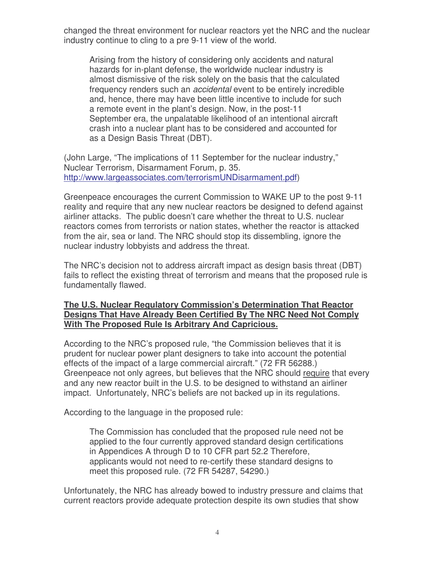changed the threat environment for nuclear reactors yet the NRC and the nuclear industry continue to cling to a pre 9-11 view of the world.

Arising from the history of considering only accidents and natural hazards for in-plant defense, the worldwide nuclear industry is almost dismissive of the risk solely on the basis that the calculated frequency renders such an *accidental* event to be entirely incredible and, hence, there may have been little incentive to include for such a remote event in the plant's design. Now, in the post-11 September era, the unpalatable likelihood of an intentional aircraft crash into a nuclear plant has to be considered and accounted for as a Design Basis Threat (DBT).

(John Large, "The implications of 11 September for the nuclear industry," Nuclear Terrorism, Disarmament Forum, p. 35. http://www.largeassociates.com/terrorismUNDisarmament.pdf)

Greenpeace encourages the current Commission to WAKE UP to the post 9-11 reality and require that any new nuclear reactors be designed to defend against airliner attacks. The public doesn't care whether the threat to U.S. nuclear reactors comes from terrorists or nation states, whether the reactor is attacked from the air, sea or land. The NRC should stop its dissembling, ignore the nuclear industry lobbyists and address the threat.

The NRC's decision not to address aircraft impact as design basis threat (DBT) fails to reflect the existing threat of terrorism and means that the proposed rule is fundamentally flawed.

## **The U.S. Nuclear Regulatory Commission's Determination That Reactor Designs That Have Already Been Certified By The NRC Need Not Comply With The Proposed Rule Is Arbitrary And Capricious.**

According to the NRC's proposed rule, "the Commission believes that it is prudent for nuclear power plant designers to take into account the potential effects of the impact of a large commercial aircraft." (72 FR 56288.) Greenpeace not only agrees, but believes that the NRC should require that every and any new reactor built in the U.S. to be designed to withstand an airliner impact. Unfortunately, NRC's beliefs are not backed up in its regulations.

According to the language in the proposed rule:

The Commission has concluded that the proposed rule need not be applied to the four currently approved standard design certifications in Appendices A through D to 10 CFR part 52.2 Therefore, applicants would not need to re-certify these standard designs to meet this proposed rule. (72 FR 54287, 54290.)

Unfortunately, the NRC has already bowed to industry pressure and claims that current reactors provide adequate protection despite its own studies that show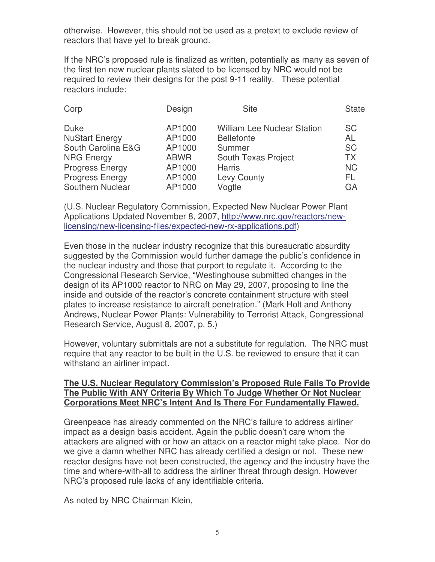otherwise. However, this should not be used as a pretext to exclude review of reactors that have yet to break ground.

If the NRC's proposed rule is finalized as written, potentially as many as seven of the first ten new nuclear plants slated to be licensed by NRC would not be required to review their designs for the post 9-11 reality. These potential reactors include:

| Corp                                                                                                                                                    | Design                                                                  | <b>Site</b>                                                                                                                               | <b>State</b>                                                               |
|---------------------------------------------------------------------------------------------------------------------------------------------------------|-------------------------------------------------------------------------|-------------------------------------------------------------------------------------------------------------------------------------------|----------------------------------------------------------------------------|
| <b>Duke</b><br><b>NuStart Energy</b><br>South Carolina E&G<br><b>NRG Energy</b><br><b>Progress Energy</b><br><b>Progress Energy</b><br>Southern Nuclear | AP1000<br>AP1000<br>AP1000<br><b>ABWR</b><br>AP1000<br>AP1000<br>AP1000 | <b>William Lee Nuclear Station</b><br><b>Bellefonte</b><br>Summer<br>South Texas Project<br><b>Harris</b><br><b>Levy County</b><br>Vogtle | <b>SC</b><br><b>AL</b><br><b>SC</b><br><b>TX</b><br><b>NC</b><br>FL.<br>GA |
|                                                                                                                                                         |                                                                         |                                                                                                                                           |                                                                            |

(U.S. Nuclear Regulatory Commission, Expected New Nuclear Power Plant Applications Updated November 8, 2007, http://www.nrc.gov/reactors/newlicensing/new-licensing-files/expected-new-rx-applications.pdf)

Even those in the nuclear industry recognize that this bureaucratic absurdity suggested by the Commission would further damage the public's confidence in the nuclear industry and those that purport to regulate it. According to the Congressional Research Service, "Westinghouse submitted changes in the design of its AP1000 reactor to NRC on May 29, 2007, proposing to line the inside and outside of the reactor's concrete containment structure with steel plates to increase resistance to aircraft penetration." (Mark Holt and Anthony Andrews, Nuclear Power Plants: Vulnerability to Terrorist Attack, Congressional Research Service, August 8, 2007, p. 5.)

However, voluntary submittals are not a substitute for regulation. The NRC must require that any reactor to be built in the U.S. be reviewed to ensure that it can withstand an airliner impact.

# **The U.S. Nuclear Regulatory Commission's Proposed Rule Fails To Provide The Public With ANY Criteria By Which To Judge Whether Or Not Nuclear Corporations Meet NRC's Intent And Is There For Fundamentally Flawed.**

Greenpeace has already commented on the NRC's failure to address airliner impact as a design basis accident. Again the public doesn't care whom the attackers are aligned with or how an attack on a reactor might take place. Nor do we give a damn whether NRC has already certified a design or not. These new reactor designs have not been constructed, the agency and the industry have the time and where-with-all to address the airliner threat through design. However NRC's proposed rule lacks of any identifiable criteria.

As noted by NRC Chairman Klein,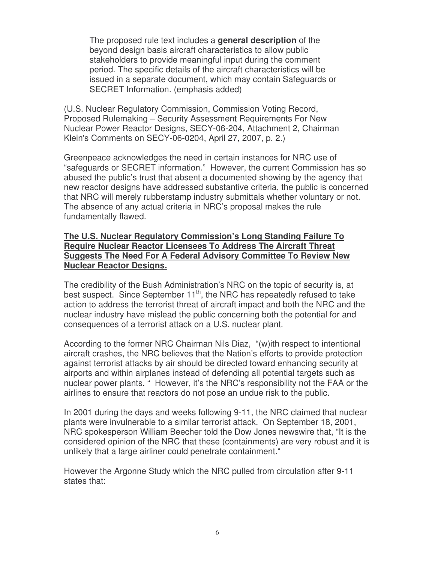The proposed rule text includes a **general description** of the beyond design basis aircraft characteristics to allow public stakeholders to provide meaningful input during the comment period. The specific details of the aircraft characteristics will be issued in a separate document, which may contain Safeguards or SECRET Information. (emphasis added)

(U.S. Nuclear Regulatory Commission, Commission Voting Record, Proposed Rulemaking – Security Assessment Requirements For New Nuclear Power Reactor Designs, SECY-06-204, Attachment 2, Chairman Klein's Comments on SECY-06-0204, April 27, 2007, p. 2.)

Greenpeace acknowledges the need in certain instances for NRC use of "safeguards or SECRET information." However, the current Commission has so abused the public's trust that absent a documented showing by the agency that new reactor designs have addressed substantive criteria, the public is concerned that NRC will merely rubberstamp industry submittals whether voluntary or not. The absence of any actual criteria in NRC's proposal makes the rule fundamentally flawed.

### **The U.S. Nuclear Regulatory Commission's Long Standing Failure To Require Nuclear Reactor Licensees To Address The Aircraft Threat Suggests The Need For A Federal Advisory Committee To Review New Nuclear Reactor Designs.**

The credibility of the Bush Administration's NRC on the topic of security is, at best suspect. Since September 11<sup>th</sup>, the NRC has repeatedly refused to take action to address the terrorist threat of aircraft impact and both the NRC and the nuclear industry have mislead the public concerning both the potential for and consequences of a terrorist attack on a U.S. nuclear plant.

According to the former NRC Chairman Nils Diaz, "(w)ith respect to intentional aircraft crashes, the NRC believes that the Nation's efforts to provide protection against terrorist attacks by air should be directed toward enhancing security at airports and within airplanes instead of defending all potential targets such as nuclear power plants. " However, it's the NRC's responsibility not the FAA or the airlines to ensure that reactors do not pose an undue risk to the public.

In 2001 during the days and weeks following 9-11, the NRC claimed that nuclear plants were invulnerable to a similar terrorist attack. On September 18, 2001, NRC spokesperson William Beecher told the Dow Jones newswire that, "It is the considered opinion of the NRC that these (containments) are very robust and it is unlikely that a large airliner could penetrate containment."

However the Argonne Study which the NRC pulled from circulation after 9-11 states that: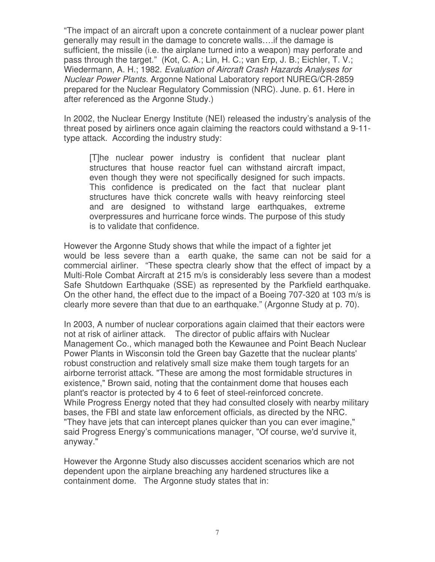"The impact of an aircraft upon a concrete containment of a nuclear power plant generally may result in the damage to concrete walls….if the damage is sufficient, the missile (i.e. the airplane turned into a weapon) may perforate and pass through the target." (Kot, C. A.; Lin, H. C.; van Erp, J. B.; Eichler, T. V.; Wiedermann, A. H.; 1982. *Evaluation of Aircraft Crash Hazards Analyses for Nuclear Power Plants*. Argonne National Laboratory report NUREG/CR-2859 prepared for the Nuclear Regulatory Commission (NRC). June. p. 61. Here in after referenced as the Argonne Study.)

In 2002, the Nuclear Energy Institute (NEI) released the industry's analysis of the threat posed by airliners once again claiming the reactors could withstand a 9-11 type attack. According the industry study:

[T]he nuclear power industry is confident that nuclear plant structures that house reactor fuel can withstand aircraft impact, even though they were not specifically designed for such impacts. This confidence is predicated on the fact that nuclear plant structures have thick concrete walls with heavy reinforcing steel and are designed to withstand large earthquakes, extreme overpressures and hurricane force winds. The purpose of this study is to validate that confidence.

However the Argonne Study shows that while the impact of a fighter jet would be less severe than a earth quake, the same can not be said for a commercial airliner. "These spectra clearly show that the effect of impact by a Multi-Role Combat Aircraft at 215 m/s is considerably less severe than a modest Safe Shutdown Earthquake (SSE) as represented by the Parkfield earthquake. On the other hand, the effect due to the impact of a Boeing 707-320 at 103 m/s is clearly more severe than that due to an earthquake." (Argonne Study at p. 70).

In 2003, A number of nuclear corporations again claimed that their eactors were not at risk of airliner attack. The director of public affairs with Nuclear Management Co., which managed both the Kewaunee and Point Beach Nuclear Power Plants in Wisconsin told the Green bay Gazette that the nuclear plants' robust construction and relatively small size make them tough targets for an airborne terrorist attack. "These are among the most formidable structures in existence," Brown said, noting that the containment dome that houses each plant's reactor is protected by 4 to 6 feet of steel-reinforced concrete. While Progress Energy noted that they had consulted closely with nearby military bases, the FBI and state law enforcement officials, as directed by the NRC. "They have jets that can intercept planes quicker than you can ever imagine," said Progress Energy's communications manager, "Of course, we'd survive it, anyway."

However the Argonne Study also discusses accident scenarios which are not dependent upon the airplane breaching any hardened structures like a containment dome. The Argonne study states that in: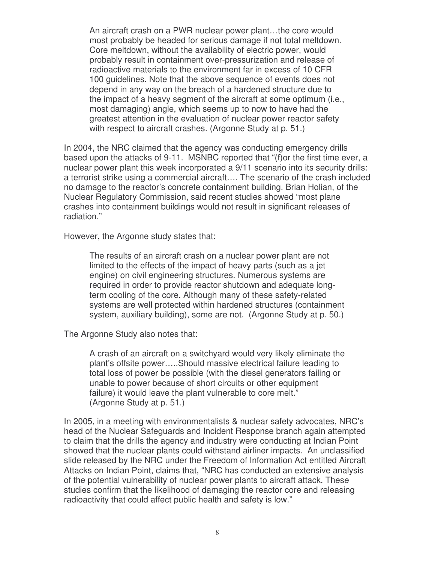An aircraft crash on a PWR nuclear power plant…the core would most probably be headed for serious damage if not total meltdown. Core meltdown, without the availability of electric power, would probably result in containment over-pressurization and release of radioactive materials to the environment far in excess of 10 CFR 100 guidelines. Note that the above sequence of events does not depend in any way on the breach of a hardened structure due to the impact of a heavy segment of the aircraft at some optimum (i.e., most damaging) angle, which seems up to now to have had the greatest attention in the evaluation of nuclear power reactor safety with respect to aircraft crashes. (Argonne Study at p. 51.)

In 2004, the NRC claimed that the agency was conducting emergency drills based upon the attacks of 9-11. MSNBC reported that "(f)or the first time ever, a nuclear power plant this week incorporated a 9/11 scenario into its security drills: a terrorist strike using a commercial aircraft…. The scenario of the crash included no damage to the reactor's concrete containment building. Brian Holian, of the Nuclear Regulatory Commission, said recent studies showed "most plane crashes into containment buildings would not result in significant releases of radiation."

However, the Argonne study states that:

The results of an aircraft crash on a nuclear power plant are not limited to the effects of the impact of heavy parts (such as a jet engine) on civil engineering structures. Numerous systems are required in order to provide reactor shutdown and adequate longterm cooling of the core. Although many of these safety-related systems are well protected within hardened structures (containment system, auxiliary building), some are not. (Argonne Study at p. 50.)

The Argonne Study also notes that:

A crash of an aircraft on a switchyard would very likely eliminate the plant's offsite power…..Should massive electrical failure leading to total loss of power be possible (with the diesel generators failing or unable to power because of short circuits or other equipment failure) it would leave the plant vulnerable to core melt." (Argonne Study at p. 51.)

In 2005, in a meeting with environmentalists & nuclear safety advocates, NRC's head of the Nuclear Safeguards and Incident Response branch again attempted to claim that the drills the agency and industry were conducting at Indian Point showed that the nuclear plants could withstand airliner impacts. An unclassified slide released by the NRC under the Freedom of Information Act entitled Aircraft Attacks on Indian Point, claims that, "NRC has conducted an extensive analysis of the potential vulnerability of nuclear power plants to aircraft attack. These studies confirm that the likelihood of damaging the reactor core and releasing radioactivity that could affect public health and safety is low."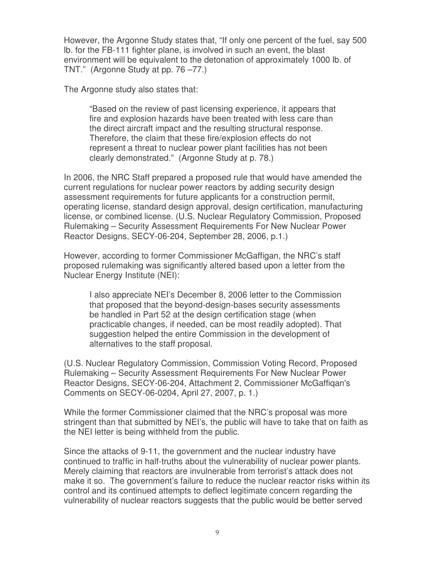However, the Argonne Study states that, "If only one percent of the fuel, say 500 lb. for the FB-111 fighter plane, is involved in such an event, the blast environment will be equivalent to the detonation of approximately 1000 lb. of TNT*.*" (Argonne Study at pp. 76 –77.)

The Argonne study also states that:

"Based on the review of past licensing experience, it appears that fire and explosion hazards have been treated with less care than the direct aircraft impact and the resulting structural response. Therefore, the claim that these fire/explosion effects do not represent a threat to nuclear power plant facilities has not been clearly demonstrated." (Argonne Study at p. 78.)

In 2006, the NRC Staff prepared a proposed rule that would have amended the current regulations for nuclear power reactors by adding security design assessment requirements for future applicants for a construction permit, operating license, standard design approval, design certification, manufacturing license, or combined license. (U.S. Nuclear Regulatory Commission, Proposed Rulemaking – Security Assessment Requirements For New Nuclear Power Reactor Designs, SECY-06-204, September 28, 2006, p.1.)

However, according to former Commissioner McGaffigan, the NRC's staff proposed rulemaking was significantly altered based upon a letter from the Nuclear Energy Institute (NEI):

I also appreciate NEI's December 8, 2006 letter to the Commission that proposed that the beyond-design-bases security assessments be handled in Part 52 at the design certification stage (when practicable changes, if needed, can be most readily adopted). That suggestion helped the entire Commission in the development of alternatives to the staff proposal.

(U.S. Nuclear Regulatory Commission, Commission Voting Record, Proposed Rulemaking – Security Assessment Requirements For New Nuclear Power Reactor Designs, SECY-06-204, Attachment 2, Commissioner McGaffiqan's Comments on SECY-06-0204, April 27, 2007, p. 1.)

While the former Commissioner claimed that the NRC's proposal was more stringent than that submitted by NEI's, the public will have to take that on faith as the NEI letter is being withheld from the public.

Since the attacks of 9-11, the government and the nuclear industry have continued to traffic in half-truths about the vulnerability of nuclear power plants. Merely claiming that reactors are invulnerable from terrorist's attack does not make it so. The government's failure to reduce the nuclear reactor risks within its control and its continued attempts to deflect legitimate concern regarding the vulnerability of nuclear reactors suggests that the public would be better served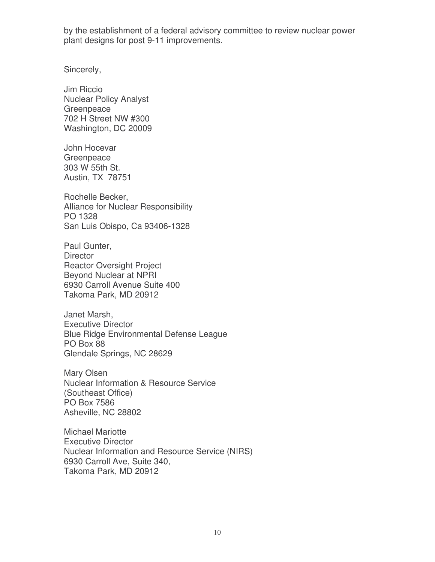by the establishment of a federal advisory committee to review nuclear power plant designs for post 9-11 improvements.

Sincerely,

Jim Riccio Nuclear Policy Analyst **Greenpeace** 702 H Street NW #300 Washington, DC 20009

John Hocevar **Greenpeace** 303 W 55th St. Austin, TX 78751

Rochelle Becker, Alliance for Nuclear Responsibility PO 1328 San Luis Obispo, Ca 93406-1328

Paul Gunter, **Director** Reactor Oversight Project Beyond Nuclear at NPRI 6930 Carroll Avenue Suite 400 Takoma Park, MD 20912

Janet Marsh, Executive Director Blue Ridge Environmental Defense League PO Box 88 Glendale Springs, NC 28629

Mary Olsen Nuclear Information & Resource Service (Southeast Office) PO Box 7586 Asheville, NC 28802

Michael Mariotte Executive Director Nuclear Information and Resource Service (NIRS) 6930 Carroll Ave, Suite 340, Takoma Park, MD 20912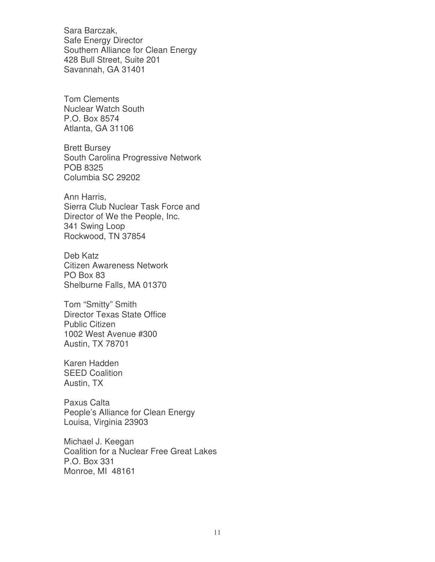Sara Barczak, Safe Energy Director Southern Alliance for Clean Energy 428 Bull Street, Suite 201 Savannah, GA 31401

Tom Clements Nuclear Watch South P.O. Box 8574 Atlanta, GA 31106

Brett Bursey South Carolina Progressive Network POB 8325 Columbia SC 29202

Ann Harris, Sierra Club Nuclear Task Force and Director of We the People, Inc. 341 Swing Loop Rockwood, TN 37854

Deb Katz Citizen Awareness Network PO Box 83 Shelburne Falls, MA 01370

Tom "Smitty" Smith Director Texas State Office Public Citizen 1002 West Avenue #300 Austin, TX 78701

Karen Hadden SEED Coalition Austin, TX

Paxus Calta People's Alliance for Clean Energy Louisa, Virginia 23903

Michael J. Keegan Coalition for a Nuclear Free Great Lakes P.O. Box 331 Monroe, MI 48161